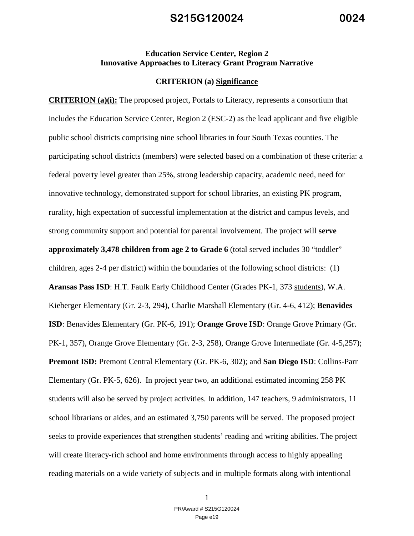#### **Education Service Center, Region 2 Innovative Approaches to Literacy Grant Program Narrative**

#### **CRITERION (a) Significance**

**CRITERION (a)(i):** The proposed project, Portals to Literacy, represents a consortium that includes the Education Service Center, Region 2 (ESC-2) as the lead applicant and five eligible public school districts comprising nine school libraries in four South Texas counties. The participating school districts (members) were selected based on a combination of these criteria: a federal poverty level greater than 25%, strong leadership capacity, academic need, need for innovative technology, demonstrated support for school libraries, an existing PK program, rurality, high expectation of successful implementation at the district and campus levels, and strong community support and potential for parental involvement. The project will **serve approximately 3,478 children from age 2 to Grade 6** (total served includes 30 "toddler" children, ages 2-4 per district) within the boundaries of the following school districts: (1) **Aransas Pass ISD**: H.T. Faulk Early Childhood Center (Grades PK-1, 373 students), W.A. Kieberger Elementary (Gr. 2-3, 294), Charlie Marshall Elementary (Gr. 4-6, 412); **Benavides ISD**: Benavides Elementary (Gr. PK-6, 191); **Orange Grove ISD**: Orange Grove Primary (Gr. PK-1, 357), Orange Grove Elementary (Gr. 2-3, 258), Orange Grove Intermediate (Gr. 4-5,257); **Premont ISD:** Premont Central Elementary (Gr. PK-6, 302); and **San Diego ISD**: Collins-Parr Elementary (Gr. PK-5, 626). In project year two, an additional estimated incoming 258 PK students will also be served by project activities. In addition, 147 teachers, 9 administrators, 11 school librarians or aides, and an estimated 3,750 parents will be served. The proposed project seeks to provide experiences that strengthen students' reading and writing abilities. The project will create literacy-rich school and home environments through access to highly appealing reading materials on a wide variety of subjects and in multiple formats along with intentional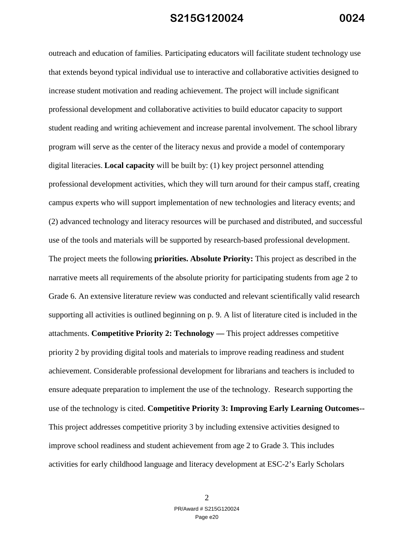outreach and education of families. Participating educators will facilitate student technology use that extends beyond typical individual use to interactive and collaborative activities designed to increase student motivation and reading achievement. The project will include significant professional development and collaborative activities to build educator capacity to support student reading and writing achievement and increase parental involvement. The school library program will serve as the center of the literacy nexus and provide a model of contemporary digital literacies. **Local capacity** will be built by: (1) key project personnel attending professional development activities, which they will turn around for their campus staff, creating campus experts who will support implementation of new technologies and literacy events; and (2) advanced technology and literacy resources will be purchased and distributed, and successful use of the tools and materials will be supported by research-based professional development. The project meets the following **priorities. Absolute Priority:** This project as described in the narrative meets all requirements of the absolute priority for participating students from age 2 to Grade 6. An extensive literature review was conducted and relevant scientifically valid research supporting all activities is outlined beginning on p. 9. A list of literature cited is included in the attachments. **Competitive Priority 2: Technology —** This project addresses competitive priority 2 by providing digital tools and materials to improve reading readiness and student achievement. Considerable professional development for librarians and teachers is included to ensure adequate preparation to implement the use of the technology. Research supporting the use of the technology is cited. **Competitive Priority 3: Improving Early Learning Outcomes--** This project addresses competitive priority 3 by including extensive activities designed to improve school readiness and student achievement from age 2 to Grade 3. This includes activities for early childhood language and literacy development at ESC-2's Early Scholars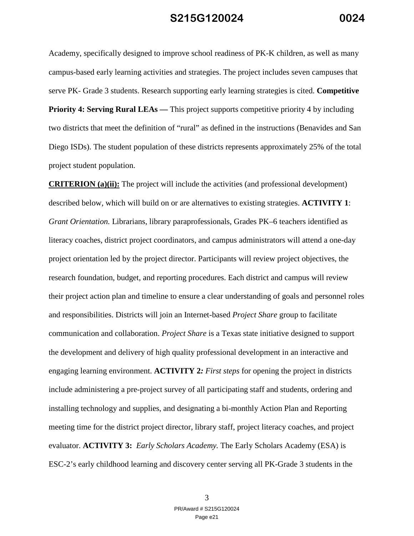Academy, specifically designed to improve school readiness of PK-K children, as well as many campus-based early learning activities and strategies. The project includes seven campuses that serve PK- Grade 3 students. Research supporting early learning strategies is cited. **Competitive Priority 4: Serving Rural LEAs — This project supports competitive priority 4 by including** two districts that meet the definition of "rural" as defined in the instructions (Benavides and San Diego ISDs). The student population of these districts represents approximately 25% of the total project student population.

**CRITERION (a)(ii):** The project will include the activities (and professional development) described below, which will build on or are alternatives to existing strategies. **ACTIVITY 1**: *Grant Orientation.* Librarians, library paraprofessionals, Grades PK–6 teachers identified as literacy coaches, district project coordinators, and campus administrators will attend a one-day project orientation led by the project director. Participants will review project objectives, the research foundation, budget, and reporting procedures. Each district and campus will review their project action plan and timeline to ensure a clear understanding of goals and personnel roles and responsibilities. Districts will join an Internet-based *Project Share* group to facilitate communication and collaboration. *Project Share* is a Texas state initiative designed to support the development and delivery of high quality professional development in an interactive and engaging learning environment. **ACTIVITY 2***: First steps* for opening the project in districts include administering a pre-project survey of all participating staff and students, ordering and installing technology and supplies, and designating a bi-monthly Action Plan and Reporting meeting time for the district project director, library staff, project literacy coaches, and project evaluator. **ACTIVITY 3:** *Early Scholars Academy.* The Early Scholars Academy (ESA) is ESC-2's early childhood learning and discovery center serving all PK-Grade 3 students in the

> 3 PR/Award # S215G120024 Page e21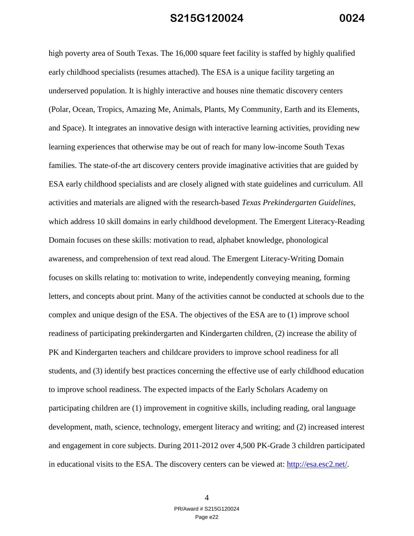high poverty area of South Texas. The 16,000 square feet facility is staffed by highly qualified early childhood specialists (resumes attached). The ESA is a unique facility targeting an underserved population. It is highly interactive and houses nine thematic discovery centers (Polar, Ocean, Tropics, Amazing Me, Animals, Plants, My Community, Earth and its Elements, and Space). It integrates an innovative design with interactive learning activities, providing new learning experiences that otherwise may be out of reach for many low-income South Texas families. The state-of-the art discovery centers provide imaginative activities that are guided by ESA early childhood specialists and are closely aligned with state guidelines and curriculum. All activities and materials are aligned with the research-based *Texas Prekindergarten Guidelines*, which address 10 skill domains in early childhood development. The Emergent Literacy-Reading Domain focuses on these skills: motivation to read, alphabet knowledge, phonological awareness, and comprehension of text read aloud. The Emergent Literacy-Writing Domain focuses on skills relating to: motivation to write, independently conveying meaning, forming letters, and concepts about print. Many of the activities cannot be conducted at schools due to the complex and unique design of the ESA. The objectives of the ESA are to (1) improve school readiness of participating prekindergarten and Kindergarten children, (2) increase the ability of PK and Kindergarten teachers and childcare providers to improve school readiness for all students, and (3) identify best practices concerning the effective use of early childhood education to improve school readiness. The expected impacts of the Early Scholars Academy on participating children are (1) improvement in cognitive skills, including reading, oral language development, math, science, technology, emergent literacy and writing; and (2) increased interest and engagement in core subjects. During 2011-2012 over 4,500 PK-Grade 3 children participated in educational visits to the ESA. The discovery centers can be viewed at: http://esa.esc2.net/.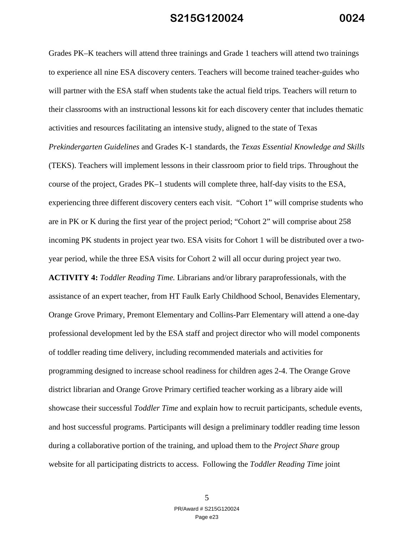Grades PK–K teachers will attend three trainings and Grade 1 teachers will attend two trainings to experience all nine ESA discovery centers. Teachers will become trained teacher-guides who will partner with the ESA staff when students take the actual field trips. Teachers will return to their classrooms with an instructional lessons kit for each discovery center that includes thematic activities and resources facilitating an intensive study, aligned to the state of Texas *Prekindergarten Guidelines* and Grades K-1 standards, the *Texas Essential Knowledge and Skills* (TEKS). Teachers will implement lessons in their classroom prior to field trips. Throughout the course of the project, Grades PK–1 students will complete three, half-day visits to the ESA, experiencing three different discovery centers each visit. "Cohort 1" will comprise students who are in PK or K during the first year of the project period; "Cohort 2" will comprise about 258 incoming PK students in project year two. ESA visits for Cohort 1 will be distributed over a twoyear period, while the three ESA visits for Cohort 2 will all occur during project year two. **ACTIVITY 4:** *Toddler Reading Time.* Librarians and/or library paraprofessionals, with the assistance of an expert teacher, from HT Faulk Early Childhood School, Benavides Elementary, Orange Grove Primary, Premont Elementary and Collins-Parr Elementary will attend a one-day professional development led by the ESA staff and project director who will model components of toddler reading time delivery, including recommended materials and activities for

programming designed to increase school readiness for children ages 2-4. The Orange Grove district librarian and Orange Grove Primary certified teacher working as a library aide will showcase their successful *Toddler Time* and explain how to recruit participants, schedule events, and host successful programs. Participants will design a preliminary toddler reading time lesson during a collaborative portion of the training, and upload them to the *Project Share* group website for all participating districts to access. Following the *Toddler Reading Time* joint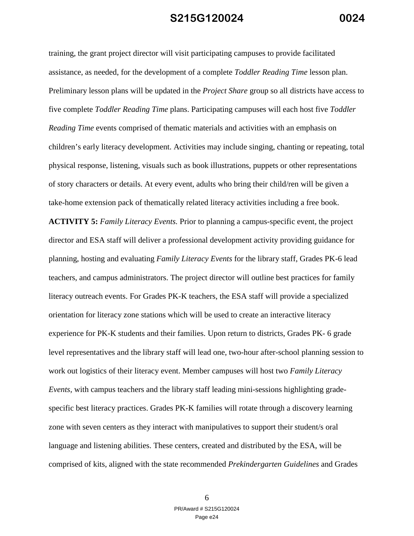training, the grant project director will visit participating campuses to provide facilitated assistance, as needed, for the development of a complete *Toddler Reading Time* lesson plan. Preliminary lesson plans will be updated in the *Project Share* group so all districts have access to five complete *Toddler Reading Time* plans. Participating campuses will each host five *Toddler Reading Time* events comprised of thematic materials and activities with an emphasis on children's early literacy development. Activities may include singing, chanting or repeating, total physical response, listening, visuals such as book illustrations, puppets or other representations of story characters or details. At every event, adults who bring their child/ren will be given a take-home extension pack of thematically related literacy activities including a free book.

**ACTIVITY 5:** *Family Literacy Events.* Prior to planning a campus-specific event, the project director and ESA staff will deliver a professional development activity providing guidance for planning, hosting and evaluating *Family Literacy Events* for the library staff, Grades PK-6 lead teachers, and campus administrators. The project director will outline best practices for family literacy outreach events. For Grades PK-K teachers, the ESA staff will provide a specialized orientation for literacy zone stations which will be used to create an interactive literacy experience for PK-K students and their families. Upon return to districts, Grades PK- 6 grade level representatives and the library staff will lead one, two-hour after-school planning session to work out logistics of their literacy event. Member campuses will host two *Family Literacy Events,* with campus teachers and the library staff leading mini-sessions highlighting gradespecific best literacy practices. Grades PK-K families will rotate through a discovery learning zone with seven centers as they interact with manipulatives to support their student/s oral language and listening abilities. These centers, created and distributed by the ESA, will be comprised of kits, aligned with the state recommended *Prekindergarten Guidelines* and Grades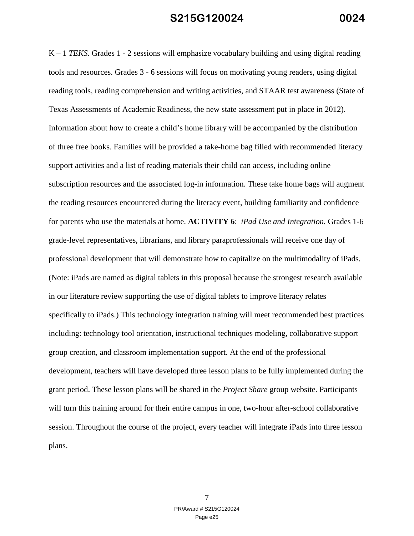K – 1 *TEKS*. Grades 1 - 2 sessions will emphasize vocabulary building and using digital reading tools and resources. Grades 3 - 6 sessions will focus on motivating young readers, using digital reading tools, reading comprehension and writing activities, and STAAR test awareness (State of Texas Assessments of Academic Readiness, the new state assessment put in place in 2012). Information about how to create a child's home library will be accompanied by the distribution of three free books. Families will be provided a take-home bag filled with recommended literacy support activities and a list of reading materials their child can access, including online subscription resources and the associated log-in information. These take home bags will augment the reading resources encountered during the literacy event, building familiarity and confidence for parents who use the materials at home. **ACTIVITY 6**: *iPad Use and Integration.* Grades 1-6 grade-level representatives, librarians, and library paraprofessionals will receive one day of professional development that will demonstrate how to capitalize on the multimodality of iPads. (Note: iPads are named as digital tablets in this proposal because the strongest research available in our literature review supporting the use of digital tablets to improve literacy relates specifically to iPads.) This technology integration training will meet recommended best practices including: technology tool orientation, instructional techniques modeling, collaborative support group creation, and classroom implementation support. At the end of the professional development, teachers will have developed three lesson plans to be fully implemented during the grant period. These lesson plans will be shared in the *Project Share* group website. Participants will turn this training around for their entire campus in one, two-hour after-school collaborative session. Throughout the course of the project, every teacher will integrate iPads into three lesson plans.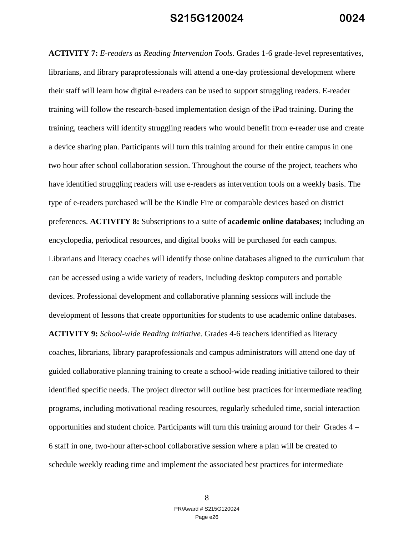**ACTIVITY 7:** *E-readers as Reading Intervention Tools.* Grades 1-6 grade-level representatives, librarians, and library paraprofessionals will attend a one-day professional development where their staff will learn how digital e-readers can be used to support struggling readers. E-reader training will follow the research-based implementation design of the iPad training. During the training, teachers will identify struggling readers who would benefit from e-reader use and create a device sharing plan. Participants will turn this training around for their entire campus in one two hour after school collaboration session. Throughout the course of the project, teachers who have identified struggling readers will use e-readers as intervention tools on a weekly basis. The type of e-readers purchased will be the Kindle Fire or comparable devices based on district preferences. **ACTIVITY 8:** Subscriptions to a suite of **academic online databases;** including an encyclopedia, periodical resources, and digital books will be purchased for each campus. Librarians and literacy coaches will identify those online databases aligned to the curriculum that can be accessed using a wide variety of readers, including desktop computers and portable devices. Professional development and collaborative planning sessions will include the development of lessons that create opportunities for students to use academic online databases.

**ACTIVITY 9:** *School-wide Reading Initiative.* Grades 4-6 teachers identified as literacy coaches, librarians, library paraprofessionals and campus administrators will attend one day of guided collaborative planning training to create a school-wide reading initiative tailored to their identified specific needs. The project director will outline best practices for intermediate reading programs, including motivational reading resources, regularly scheduled time, social interaction opportunities and student choice. Participants will turn this training around for their Grades 4 – 6 staff in one, two-hour after-school collaborative session where a plan will be created to schedule weekly reading time and implement the associated best practices for intermediate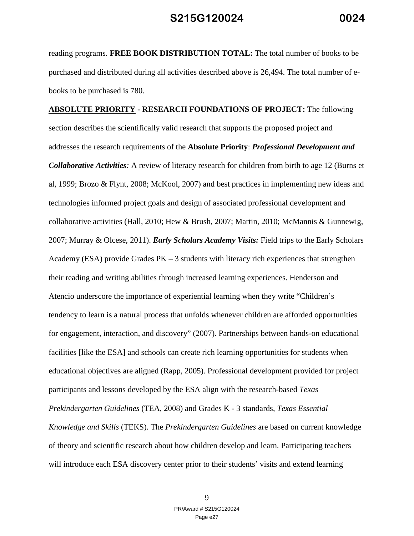reading programs. **FREE BOOK DISTRIBUTION TOTAL:** The total number of books to be purchased and distributed during all activities described above is 26,494. The total number of ebooks to be purchased is 780.

**ABSOLUTE PRIORITY - RESEARCH FOUNDATIONS OF PROJECT:** The following section describes the scientifically valid research that supports the proposed project and addresses the research requirements of the **Absolute Priority**: *Professional Development and Collaborative Activities:* A review of literacy research for children from birth to age 12 (Burns et al, 1999; Brozo & Flynt, 2008; McKool, 2007) and best practices in implementing new ideas and technologies informed project goals and design of associated professional development and collaborative activities (Hall, 2010; Hew & Brush, 2007; Martin, 2010; McMannis & Gunnewig, 2007; Murray & Olcese, 2011). *Early Scholars Academy Visits:* Field trips to the Early Scholars Academy (ESA) provide Grades  $PK - 3$  students with literacy rich experiences that strengthen their reading and writing abilities through increased learning experiences. Henderson and Atencio underscore the importance of experiential learning when they write "Children's tendency to learn is a natural process that unfolds whenever children are afforded opportunities for engagement, interaction, and discovery" (2007). Partnerships between hands-on educational facilities [like the ESA] and schools can create rich learning opportunities for students when educational objectives are aligned (Rapp, 2005). Professional development provided for project participants and lessons developed by the ESA align with the research-based *Texas Prekindergarten Guidelines* (TEA, 2008) and Grades K - 3 standards, *Texas Essential Knowledge and Skills* (TEKS). The *Prekindergarten Guidelines* are based on current knowledge of theory and scientific research about how children develop and learn. Participating teachers will introduce each ESA discovery center prior to their students' visits and extend learning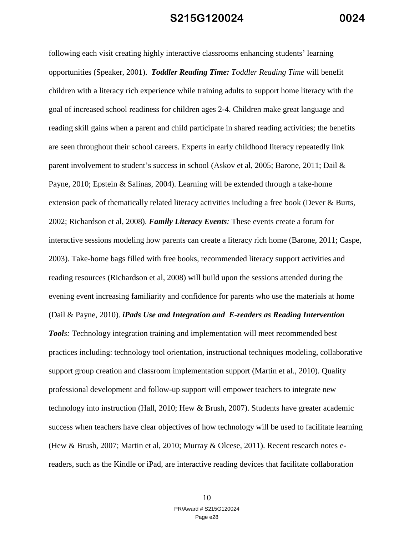following each visit creating highly interactive classrooms enhancing students' learning opportunities (Speaker, 2001). *Toddler Reading Time: Toddler Reading Time* will benefit children with a literacy rich experience while training adults to support home literacy with the goal of increased school readiness for children ages 2-4. Children make great language and reading skill gains when a parent and child participate in shared reading activities; the benefits are seen throughout their school careers. Experts in early childhood literacy repeatedly link parent involvement to student's success in school (Askov et al, 2005; Barone, 2011; Dail & Payne, 2010; Epstein & Salinas, 2004). Learning will be extended through a take-home extension pack of thematically related literacy activities including a free book (Dever & Burts, 2002; Richardson et al, 2008). *Family Literacy Events:* These events create a forum for interactive sessions modeling how parents can create a literacy rich home (Barone, 2011; Caspe, 2003). Take-home bags filled with free books, recommended literacy support activities and reading resources (Richardson et al, 2008) will build upon the sessions attended during the evening event increasing familiarity and confidence for parents who use the materials at home (Dail & Payne, 2010). *iPads Use and Integration and**E-readers as Reading Intervention Tools*: Technology integration training and implementation will meet recommended best practices including: technology tool orientation, instructional techniques modeling, collaborative support group creation and classroom implementation support (Martin et al., 2010). Quality professional development and follow-up support will empower teachers to integrate new technology into instruction (Hall, 2010; Hew & Brush, 2007). Students have greater academic success when teachers have clear objectives of how technology will be used to facilitate learning (Hew & Brush, 2007; Martin et al, 2010; Murray & Olcese, 2011). Recent research notes ereaders, such as the Kindle or iPad, are interactive reading devices that facilitate collaboration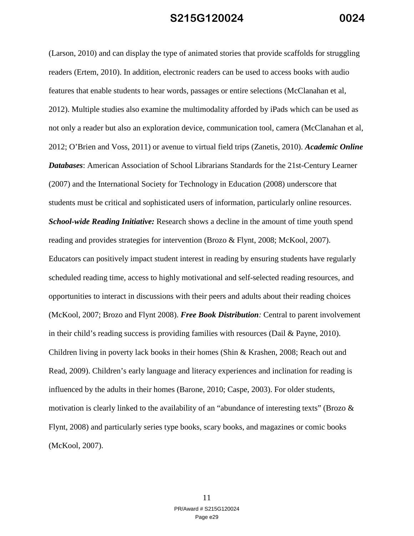(Larson, 2010) and can display the type of animated stories that provide scaffolds for struggling readers (Ertem, 2010). In addition, electronic readers can be used to access books with audio features that enable students to hear words, passages or entire selections (McClanahan et al, 2012). Multiple studies also examine the multimodality afforded by iPads which can be used as not only a reader but also an exploration device, communication tool, camera (McClanahan et al, 2012; O'Brien and Voss, 2011) or avenue to virtual field trips (Zanetis, 2010). *Academic Online Databases*: American Association of School Librarians Standards for the 21st-Century Learner (2007) and the International Society for Technology in Education (2008) underscore that students must be critical and sophisticated users of information, particularly online resources. *School-wide Reading Initiative:* Research shows a decline in the amount of time youth spend reading and provides strategies for intervention (Brozo & Flynt, 2008; McKool, 2007). Educators can positively impact student interest in reading by ensuring students have regularly scheduled reading time, access to highly motivational and self-selected reading resources, and opportunities to interact in discussions with their peers and adults about their reading choices (McKool, 2007; Brozo and Flynt 2008). *Free Book Distribution:* Central to parent involvement in their child's reading success is providing families with resources (Dail & Payne, 2010). Children living in poverty lack books in their homes (Shin & Krashen, 2008; Reach out and Read, 2009). Children's early language and literacy experiences and inclination for reading is influenced by the adults in their homes (Barone, 2010; Caspe, 2003). For older students, motivation is clearly linked to the availability of an "abundance of interesting texts" (Brozo  $\&$ Flynt, 2008) and particularly series type books, scary books, and magazines or comic books (McKool, 2007).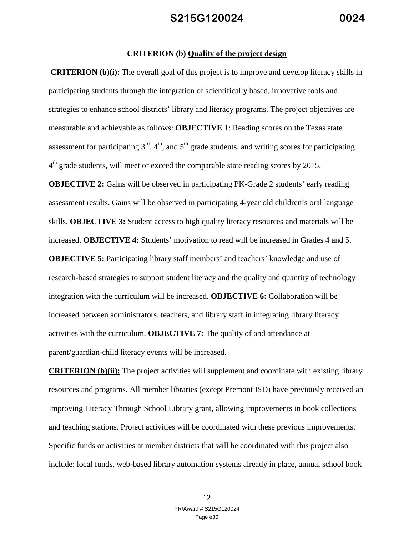#### **CRITERION (b) Quality of the project design**

**CRITERION (b)(i):** The overall goal of this project is to improve and develop literacy skills in participating students through the integration of scientifically based, innovative tools and strategies to enhance school districts' library and literacy programs. The project objectives are measurable and achievable as follows: **OBJECTIVE 1**: Reading scores on the Texas state assessment for participating  $3<sup>rd</sup>$ ,  $4<sup>th</sup>$ , and  $5<sup>th</sup>$  grade students, and writing scores for participating  $4<sup>th</sup>$  grade students, will meet or exceed the comparable state reading scores by 2015.

**OBJECTIVE 2:** Gains will be observed in participating PK-Grade 2 students' early reading assessment results. Gains will be observed in participating 4-year old children's oral language skills. **OBJECTIVE 3:** Student access to high quality literacy resources and materials will be increased. **OBJECTIVE 4:** Students' motivation to read will be increased in Grades 4 and 5. **OBJECTIVE 5:** Participating library staff members' and teachers' knowledge and use of research-based strategies to support student literacy and the quality and quantity of technology integration with the curriculum will be increased. **OBJECTIVE 6:** Collaboration will be increased between administrators, teachers, and library staff in integrating library literacy activities with the curriculum. **OBJECTIVE 7:** The quality of and attendance at parent/guardian-child literacy events will be increased.

**CRITERION (b)(ii):** The project activities will supplement and coordinate with existing library resources and programs. All member libraries (except Premont ISD) have previously received an Improving Literacy Through School Library grant, allowing improvements in book collections and teaching stations. Project activities will be coordinated with these previous improvements. Specific funds or activities at member districts that will be coordinated with this project also include: local funds, web-based library automation systems already in place, annual school book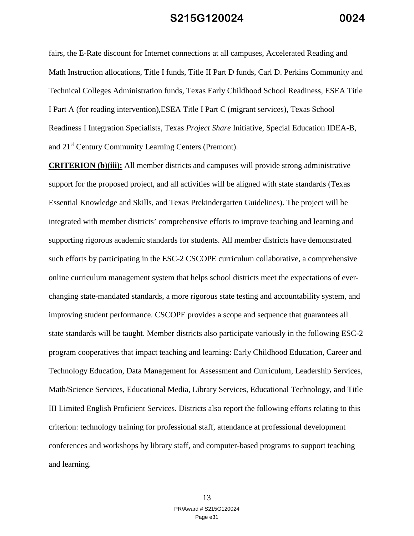fairs, the E-Rate discount for Internet connections at all campuses, Accelerated Reading and Math Instruction allocations, Title I funds, Title II Part D funds, Carl D. Perkins Community and Technical Colleges Administration funds, Texas Early Childhood School Readiness, ESEA Title I Part A (for reading intervention),ESEA Title I Part C (migrant services), Texas School Readiness I Integration Specialists, Texas *Project Share* Initiative, Special Education IDEA-B, and 21<sup>st</sup> Century Community Learning Centers (Premont).

**CRITERION (b)(iii):** All member districts and campuses will provide strong administrative support for the proposed project, and all activities will be aligned with state standards (Texas Essential Knowledge and Skills, and Texas Prekindergarten Guidelines). The project will be integrated with member districts' comprehensive efforts to improve teaching and learning and supporting rigorous academic standards for students. All member districts have demonstrated such efforts by participating in the ESC-2 CSCOPE curriculum collaborative, a comprehensive online curriculum management system that helps school districts meet the expectations of everchanging state-mandated standards, a more rigorous state testing and accountability system, and improving student performance. CSCOPE provides a scope and sequence that guarantees all state standards will be taught. Member districts also participate variously in the following ESC-2 program cooperatives that impact teaching and learning: Early Childhood Education, Career and Technology Education, Data Management for Assessment and Curriculum, Leadership Services, Math/Science Services, Educational Media, Library Services, Educational Technology, and Title III Limited English Proficient Services. Districts also report the following efforts relating to this criterion: technology training for professional staff, attendance at professional development conferences and workshops by library staff, and computer-based programs to support teaching and learning.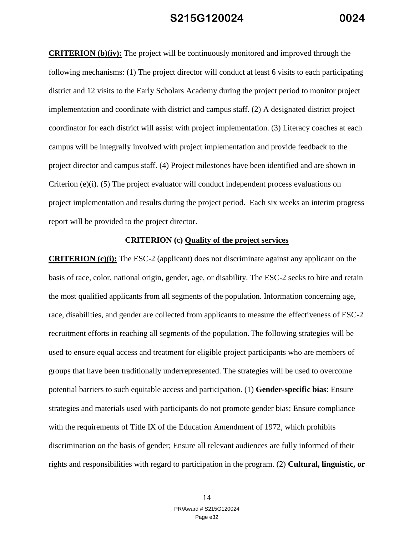**CRITERION (b)(iv):** The project will be continuously monitored and improved through the following mechanisms: (1) The project director will conduct at least 6 visits to each participating district and 12 visits to the Early Scholars Academy during the project period to monitor project implementation and coordinate with district and campus staff. (2) A designated district project coordinator for each district will assist with project implementation. (3) Literacy coaches at each campus will be integrally involved with project implementation and provide feedback to the project director and campus staff. (4) Project milestones have been identified and are shown in Criterion (e)(i). (5) The project evaluator will conduct independent process evaluations on project implementation and results during the project period. Each six weeks an interim progress report will be provided to the project director.

#### **CRITERION (c) Quality of the project services**

**CRITERION (c)(i):** The ESC-2 (applicant) does not discriminate against any applicant on the basis of race, color, national origin, gender, age, or disability. The ESC-2 seeks to hire and retain the most qualified applicants from all segments of the population. Information concerning age, race, disabilities, and gender are collected from applicants to measure the effectiveness of ESC-2 recruitment efforts in reaching all segments of the population.The following strategies will be used to ensure equal access and treatment for eligible project participants who are members of groups that have been traditionally underrepresented. The strategies will be used to overcome potential barriers to such equitable access and participation. (1) **Gender-specific bias**: Ensure strategies and materials used with participants do not promote gender bias; Ensure compliance with the requirements of Title IX of the Education Amendment of 1972, which prohibits discrimination on the basis of gender; Ensure all relevant audiences are fully informed of their rights and responsibilities with regard to participation in the program. (2) **Cultural, linguistic, or**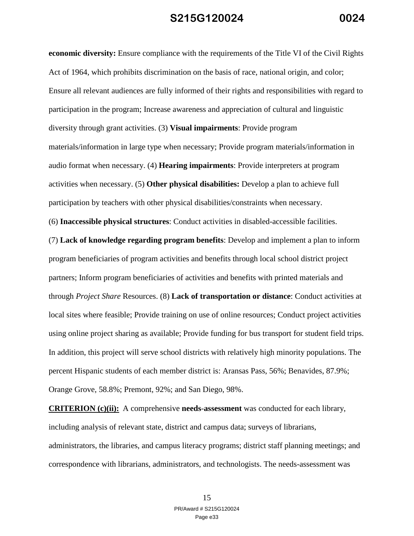**economic diversity:** Ensure compliance with the requirements of the Title VI of the Civil Rights Act of 1964, which prohibits discrimination on the basis of race, national origin, and color; Ensure all relevant audiences are fully informed of their rights and responsibilities with regard to participation in the program; Increase awareness and appreciation of cultural and linguistic diversity through grant activities. (3) **Visual impairments**: Provide program materials/information in large type when necessary; Provide program materials/information in audio format when necessary. (4) **Hearing impairments**: Provide interpreters at program activities when necessary. (5) **Other physical disabilities:** Develop a plan to achieve full participation by teachers with other physical disabilities/constraints when necessary. (6) **Inaccessible physical structures**: Conduct activities in disabled-accessible facilities. (7) **Lack of knowledge regarding program benefits**: Develop and implement a plan to inform program beneficiaries of program activities and benefits through local school district project partners; Inform program beneficiaries of activities and benefits with printed materials and through *Project Share* Resources. (8) **Lack of transportation or distance**: Conduct activities at local sites where feasible; Provide training on use of online resources; Conduct project activities using online project sharing as available; Provide funding for bus transport for student field trips. In addition, this project will serve school districts with relatively high minority populations. The percent Hispanic students of each member district is: Aransas Pass, 56%; Benavides, 87.9%; Orange Grove, 58.8%; Premont, 92%; and San Diego, 98%.

**CRITERION (c)(ii):** A comprehensive **needs**-**assessment** was conducted for each library, including analysis of relevant state, district and campus data; surveys of librarians, administrators, the libraries, and campus literacy programs; district staff planning meetings; and correspondence with librarians, administrators, and technologists. The needs-assessment was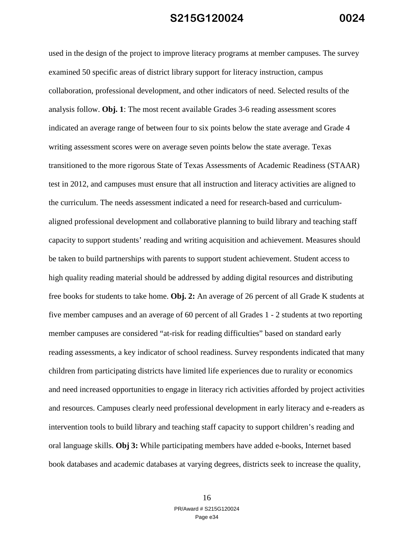used in the design of the project to improve literacy programs at member campuses. The survey examined 50 specific areas of district library support for literacy instruction, campus collaboration, professional development, and other indicators of need. Selected results of the analysis follow. **Obj. 1**: The most recent available Grades 3-6 reading assessment scores indicated an average range of between four to six points below the state average and Grade 4 writing assessment scores were on average seven points below the state average. Texas transitioned to the more rigorous State of Texas Assessments of Academic Readiness (STAAR) test in 2012, and campuses must ensure that all instruction and literacy activities are aligned to the curriculum. The needs assessment indicated a need for research-based and curriculumaligned professional development and collaborative planning to build library and teaching staff capacity to support students' reading and writing acquisition and achievement. Measures should be taken to build partnerships with parents to support student achievement. Student access to high quality reading material should be addressed by adding digital resources and distributing free books for students to take home. **Obj. 2:** An average of 26 percent of all Grade K students at five member campuses and an average of 60 percent of all Grades 1 - 2 students at two reporting member campuses are considered "at-risk for reading difficulties" based on standard early reading assessments, a key indicator of school readiness. Survey respondents indicated that many children from participating districts have limited life experiences due to rurality or economics and need increased opportunities to engage in literacy rich activities afforded by project activities and resources. Campuses clearly need professional development in early literacy and e-readers as intervention tools to build library and teaching staff capacity to support children's reading and oral language skills. **Obj 3:** While participating members have added e-books, Internet based book databases and academic databases at varying degrees, districts seek to increase the quality,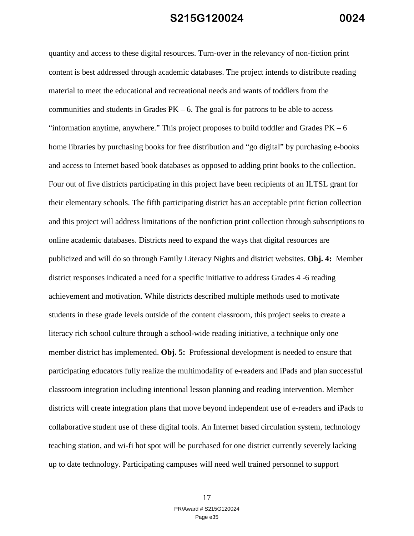quantity and access to these digital resources. Turn-over in the relevancy of non-fiction print content is best addressed through academic databases. The project intends to distribute reading material to meet the educational and recreational needs and wants of toddlers from the communities and students in Grades  $PK - 6$ . The goal is for patrons to be able to access "information anytime, anywhere." This project proposes to build toddler and Grades  $PK - 6$ home libraries by purchasing books for free distribution and "go digital" by purchasing e-books and access to Internet based book databases as opposed to adding print books to the collection. Four out of five districts participating in this project have been recipients of an ILTSL grant for their elementary schools. The fifth participating district has an acceptable print fiction collection and this project will address limitations of the nonfiction print collection through subscriptions to online academic databases. Districts need to expand the ways that digital resources are publicized and will do so through Family Literacy Nights and district websites. **Obj. 4:** Member district responses indicated a need for a specific initiative to address Grades 4 -6 reading achievement and motivation. While districts described multiple methods used to motivate students in these grade levels outside of the content classroom, this project seeks to create a literacy rich school culture through a school-wide reading initiative, a technique only one member district has implemented. **Obj. 5:** Professional development is needed to ensure that participating educators fully realize the multimodality of e-readers and iPads and plan successful classroom integration including intentional lesson planning and reading intervention. Member districts will create integration plans that move beyond independent use of e-readers and iPads to collaborative student use of these digital tools. An Internet based circulation system, technology teaching station, and wi-fi hot spot will be purchased for one district currently severely lacking up to date technology. Participating campuses will need well trained personnel to support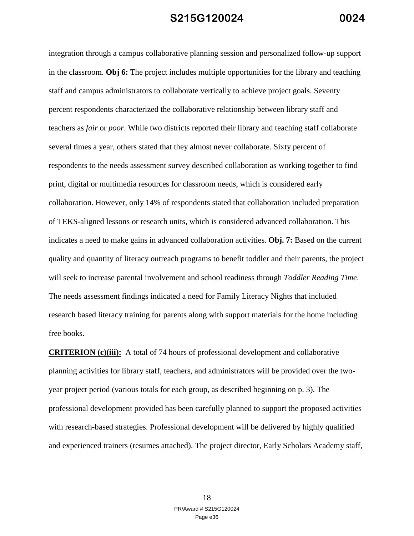integration through a campus collaborative planning session and personalized follow-up support in the classroom. **Obj 6:** The project includes multiple opportunities for the library and teaching staff and campus administrators to collaborate vertically to achieve project goals. Seventy percent respondents characterized the collaborative relationship between library staff and teachers as *fair* or *poor*. While two districts reported their library and teaching staff collaborate several times a year, others stated that they almost never collaborate. Sixty percent of respondents to the needs assessment survey described collaboration as working together to find print, digital or multimedia resources for classroom needs, which is considered early collaboration. However, only 14% of respondents stated that collaboration included preparation of TEKS-aligned lessons or research units, which is considered advanced collaboration. This indicates a need to make gains in advanced collaboration activities. **Obj. 7:** Based on the current quality and quantity of literacy outreach programs to benefit toddler and their parents, the project will seek to increase parental involvement and school readiness through *Toddler Reading Time*. The needs assessment findings indicated a need for Family Literacy Nights that included research based literacy training for parents along with support materials for the home including free books.

**CRITERION (c)(iii):** A total of 74 hours of professional development and collaborative planning activities for library staff, teachers, and administrators will be provided over the twoyear project period (various totals for each group, as described beginning on p. 3). The professional development provided has been carefully planned to support the proposed activities with research-based strategies. Professional development will be delivered by highly qualified and experienced trainers (resumes attached). The project director, Early Scholars Academy staff,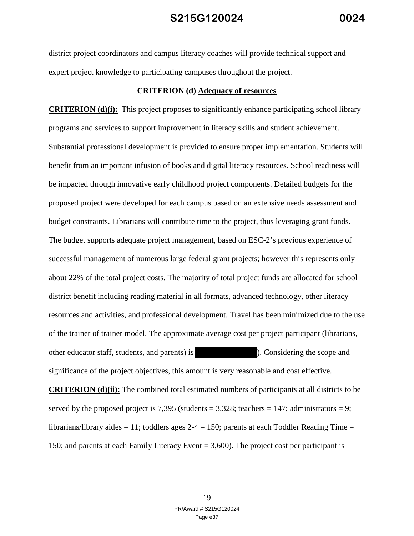district project coordinators and campus literacy coaches will provide technical support and expert project knowledge to participating campuses throughout the project.

#### **CRITERION (d) Adequacy of resources**

**CRITERION (d)(i):** This project proposes to significantly enhance participating school library programs and services to support improvement in literacy skills and student achievement. Substantial professional development is provided to ensure proper implementation. Students will benefit from an important infusion of books and digital literacy resources. School readiness will be impacted through innovative early childhood project components. Detailed budgets for the proposed project were developed for each campus based on an extensive needs assessment and budget constraints. Librarians will contribute time to the project, thus leveraging grant funds. The budget supports adequate project management, based on ESC-2's previous experience of successful management of numerous large federal grant projects; however this represents only about 22% of the total project costs. The majority of total project funds are allocated for school district benefit including reading material in all formats, advanced technology, other literacy resources and activities, and professional development. Travel has been minimized due to the use of the trainer of trainer model. The approximate average cost per project participant (librarians, other educator staff, students, and parents) is ). Considering the scope and significance of the project objectives, this amount is very reasonable and cost effective. **CRITERION (d)(ii):** The combined total estimated numbers of participants at all districts to be served by the proposed project is 7,395 (students  $= 3,328$ ; teachers  $= 147$ ; administrators  $= 9$ ; librarians/library aides  $= 11$ ; toddlers ages  $2-4 = 150$ ; parents at each Toddler Reading Time  $=$ 

150; and parents at each Family Literacy Event = 3,600). The project cost per participant is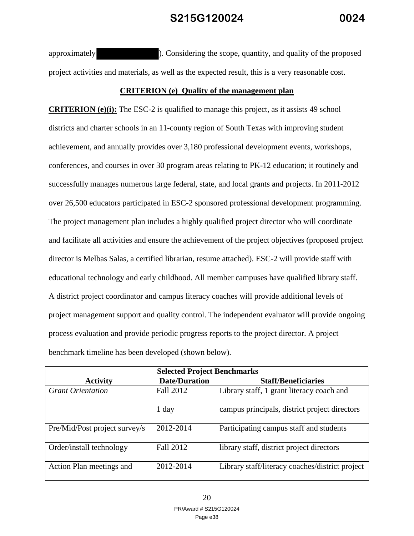approximately ). Considering the scope, quantity, and quality of the proposed project activities and materials, as well as the expected result, this is a very reasonable cost.

#### **CRITERION (e) Quality of the management plan**

**CRITERION (e)(i):** The ESC-2 is qualified to manage this project, as it assists 49 school districts and charter schools in an 11-county region of South Texas with improving student achievement, and annually provides over 3,180 professional development events, workshops, conferences, and courses in over 30 program areas relating to PK-12 education; it routinely and successfully manages numerous large federal, state, and local grants and projects. In 2011-2012 over 26,500 educators participated in ESC-2 sponsored professional development programming. The project management plan includes a highly qualified project director who will coordinate and facilitate all activities and ensure the achievement of the project objectives (proposed project director is Melbas Salas, a certified librarian, resume attached). ESC-2 will provide staff with educational technology and early childhood. All member campuses have qualified library staff. A district project coordinator and campus literacy coaches will provide additional levels of project management support and quality control. The independent evaluator will provide ongoing process evaluation and provide periodic progress reports to the project director. A project benchmark timeline has been developed (shown below).

| <b>Selected Project Benchmarks</b> |                      |                                                 |  |
|------------------------------------|----------------------|-------------------------------------------------|--|
| <b>Activity</b>                    | <b>Date/Duration</b> | <b>Staff/Beneficiaries</b>                      |  |
| <b>Grant Orientation</b>           | Fall 2012            | Library staff, 1 grant literacy coach and       |  |
|                                    | 1 day                | campus principals, district project directors   |  |
| Pre/Mid/Post project survey/s      | 2012-2014            | Participating campus staff and students         |  |
| Order/install technology           | Fall 2012            | library staff, district project directors       |  |
| Action Plan meetings and           | 2012-2014            | Library staff/literacy coaches/district project |  |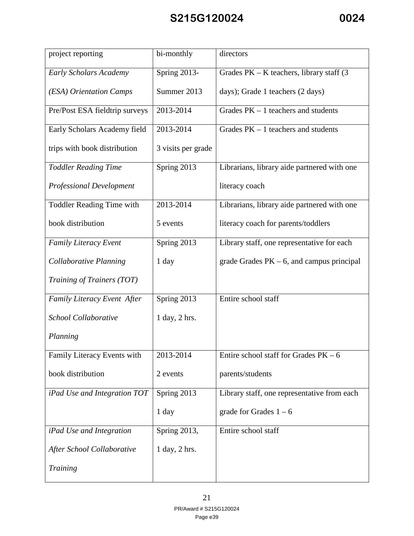| project reporting                | bi-monthly         | directors                                    |
|----------------------------------|--------------------|----------------------------------------------|
| <b>Early Scholars Academy</b>    | Spring 2013-       | Grades $PK - K$ teachers, library staff (3)  |
| (ESA) Orientation Camps          | Summer 2013        | days); Grade 1 teachers (2 days)             |
| Pre/Post ESA fieldtrip surveys   | 2013-2014          | Grades $PK - 1$ teachers and students        |
| Early Scholars Academy field     | 2013-2014          | Grades $PK - 1$ teachers and students        |
| trips with book distribution     | 3 visits per grade |                                              |
| <b>Toddler Reading Time</b>      | Spring 2013        | Librarians, library aide partnered with one  |
| <b>Professional Development</b>  |                    | literacy coach                               |
| <b>Toddler Reading Time with</b> | 2013-2014          | Librarians, library aide partnered with one  |
| book distribution                | 5 events           | literacy coach for parents/toddlers          |
| Family Literacy Event            | Spring 2013        | Library staff, one representative for each   |
| Collaborative Planning           | 1 day              | grade Grades $PK - 6$ , and campus principal |
| Training of Trainers (TOT)       |                    |                                              |
| Family Literacy Event After      | Spring 2013        | Entire school staff                          |
| School Collaborative             | 1 day, 2 hrs.      |                                              |
| Planning                         |                    |                                              |
| Family Literacy Events with      | 2013-2014          | Entire school staff for Grades $PK - 6$      |
| book distribution                | 2 events           | parents/students                             |
| iPad Use and Integration TOT     | Spring 2013        | Library staff, one representative from each  |
|                                  | 1 day              | grade for Grades $1 - 6$                     |
| iPad Use and Integration         | Spring 2013,       | Entire school staff                          |
| After School Collaborative       | 1 day, 2 hrs.      |                                              |
| Training                         |                    |                                              |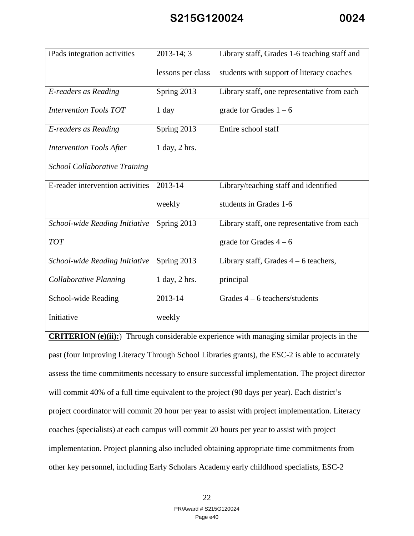| iPads integration activities         | $2013 - 14; 3$    | Library staff, Grades 1-6 teaching staff and |
|--------------------------------------|-------------------|----------------------------------------------|
|                                      | lessons per class | students with support of literacy coaches    |
| E-readers as Reading                 | Spring 2013       | Library staff, one representative from each  |
| <b>Intervention Tools TOT</b>        | $1$ day           | grade for Grades $1 - 6$                     |
| E-readers as Reading                 | Spring 2013       | Entire school staff                          |
| <b>Intervention Tools After</b>      | 1 day, 2 hrs.     |                                              |
| <b>School Collaborative Training</b> |                   |                                              |
| E-reader intervention activities     | 2013-14           | Library/teaching staff and identified        |
|                                      | weekly            | students in Grades 1-6                       |
| School-wide Reading Initiative       | Spring 2013       | Library staff, one representative from each  |
| <b>TOT</b>                           |                   | grade for Grades $4-6$                       |
| School-wide Reading Initiative       | Spring 2013       | Library staff, Grades $4 - 6$ teachers,      |
| Collaborative Planning               | $1$ day, $2$ hrs. | principal                                    |
| School-wide Reading                  | 2013-14           | Grades $4 - 6$ teachers/students             |
| Initiative                           | weekly            |                                              |

**CRITERION (e)(ii):**) Through considerable experience with managing similar projects in the past (four Improving Literacy Through School Libraries grants), the ESC-2 is able to accurately assess the time commitments necessary to ensure successful implementation. The project director will commit 40% of a full time equivalent to the project (90 days per year). Each district's project coordinator will commit 20 hour per year to assist with project implementation. Literacy coaches (specialists) at each campus will commit 20 hours per year to assist with project implementation. Project planning also included obtaining appropriate time commitments from other key personnel, including Early Scholars Academy early childhood specialists, ESC-2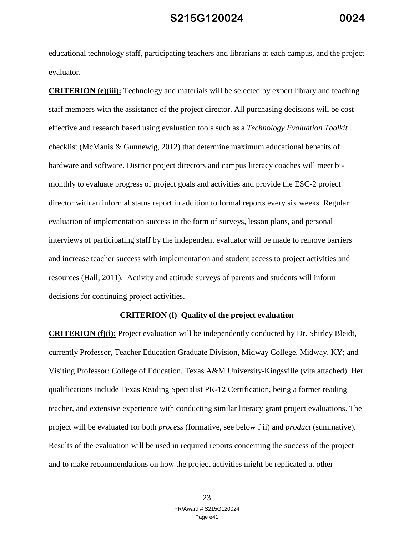educational technology staff, participating teachers and librarians at each campus, and the project evaluator.

**CRITERION (e)(iii):** Technology and materials will be selected by expert library and teaching staff members with the assistance of the project director. All purchasing decisions will be cost effective and research based using evaluation tools such as a *Technology Evaluation Toolkit* checklist (McManis & Gunnewig, 2012) that determine maximum educational benefits of hardware and software. District project directors and campus literacy coaches will meet bimonthly to evaluate progress of project goals and activities and provide the ESC-2 project director with an informal status report in addition to formal reports every six weeks. Regular evaluation of implementation success in the form of surveys, lesson plans, and personal interviews of participating staff by the independent evaluator will be made to remove barriers and increase teacher success with implementation and student access to project activities and resources (Hall, 2011). Activity and attitude surveys of parents and students will inform decisions for continuing project activities.

#### **CRITERION (f) Quality of the project evaluation**

**CRITERION (f)(i):** Project evaluation will be independently conducted by Dr. Shirley Bleidt, currently Professor, Teacher Education Graduate Division, Midway College, Midway, KY; and Visiting Professor: College of Education, Texas A&M University-Kingsville (vita attached). Her qualifications include Texas Reading Specialist PK-12 Certification, being a former reading teacher, and extensive experience with conducting similar literacy grant project evaluations. The project will be evaluated for both *process* (formative, see below f ii) and *product* (summative). Results of the evaluation will be used in required reports concerning the success of the project and to make recommendations on how the project activities might be replicated at other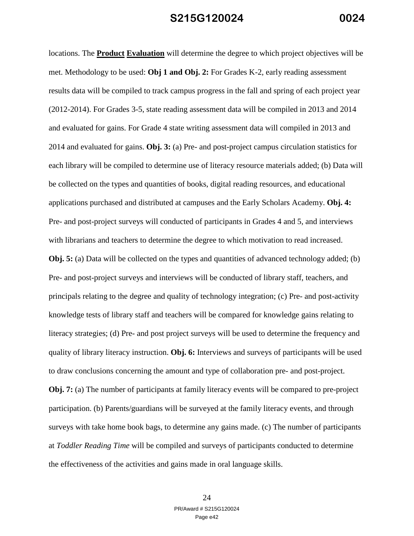locations. The **Product Evaluation** will determine the degree to which project objectives will be met. Methodology to be used: **Obj 1 and Obj. 2:** For Grades K-2, early reading assessment results data will be compiled to track campus progress in the fall and spring of each project year (2012-2014). For Grades 3-5, state reading assessment data will be compiled in 2013 and 2014 and evaluated for gains. For Grade 4 state writing assessment data will compiled in 2013 and 2014 and evaluated for gains. **Obj. 3:** (a) Pre- and post-project campus circulation statistics for each library will be compiled to determine use of literacy resource materials added; (b) Data will be collected on the types and quantities of books, digital reading resources, and educational applications purchased and distributed at campuses and the Early Scholars Academy. **Obj. 4:**  Pre- and post-project surveys will conducted of participants in Grades 4 and 5, and interviews with librarians and teachers to determine the degree to which motivation to read increased. **Obj. 5:** (a) Data will be collected on the types and quantities of advanced technology added; (b) Pre- and post-project surveys and interviews will be conducted of library staff, teachers, and principals relating to the degree and quality of technology integration; (c) Pre- and post-activity knowledge tests of library staff and teachers will be compared for knowledge gains relating to literacy strategies; (d) Pre- and post project surveys will be used to determine the frequency and quality of library literacy instruction. **Obj. 6:** Interviews and surveys of participants will be used to draw conclusions concerning the amount and type of collaboration pre- and post-project. **Obj. 7:** (a) The number of participants at family literacy events will be compared to pre-project participation. (b) Parents/guardians will be surveyed at the family literacy events, and through surveys with take home book bags, to determine any gains made. (c) The number of participants at *Toddler Reading Time* will be compiled and surveys of participants conducted to determine the effectiveness of the activities and gains made in oral language skills.